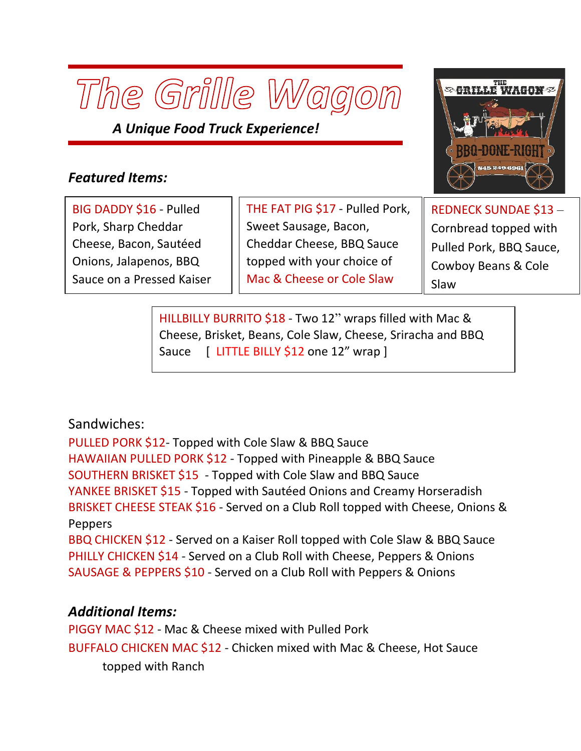

*A Unique Food Truck Experience!*

## *Featured Items:*

BIG DADDY \$16 - Pulled Pork, Sharp Cheddar Cheese, Bacon, Sautéed Onions, Jalapenos, BBQ Sauce on a Pressed Kaiser

Roll,rPressed on Flattop

THE FAT PIG \$17 - Pulled Pork, Sweet Sausage, Bacon, Cheddar Cheese, BBQ Sauce topped with your choice of Mac & Cheese or Cole Slaw

REDNECK SUNDAE \$13 – Cornbread topped with Pulled Pork, BBQ Sauce, Cowboy Beans & Cole Slaw

HILLBILLY BURRITO \$18 - Two 12" wraps filled with Mac & Cheese, Brisket, Beans, Cole Slaw, Cheese, Sriracha and BBQ Sauce [ LITTLE BILLY \$12 one 12" wrap ]

 $\mathcal{L}^{\mathcal{L}}$  and  $\mathcal{L}^{\mathcal{L}}$  wrap version of the burriton of the burriton of the burriton of the burriton of the burriton

## Sandwiches:

PULLED PORK \$12- Topped with Cole Slaw & BBQ Sauce HAWAIIAN PULLED PORK \$12 - Topped with Pineapple & BBQ Sauce SOUTHERN BRISKET \$15 - Topped with Cole Slaw and BBQ Sauce YANKEE BRISKET \$15 - Topped with Sautéed Onions and Creamy Horseradish BRISKET CHEESE STEAK \$16 - Served on a Club Roll topped with Cheese, Onions & Peppers

BBQ CHICKEN \$12 - Served on a Kaiser Roll topped with Cole Slaw & BBQ Sauce PHILLY CHICKEN \$14 - Served on a Club Roll with Cheese, Peppers & Onions SAUSAGE & PEPPERS \$10 - Served on a Club Roll with Peppers & Onions

## *Additional Items:*

PIGGY MAC \$12 - Mac & Cheese mixed with Pulled Pork BUFFALO CHICKEN MAC \$12 - Chicken mixed with Mac & Cheese, Hot Sauce topped with Ranch